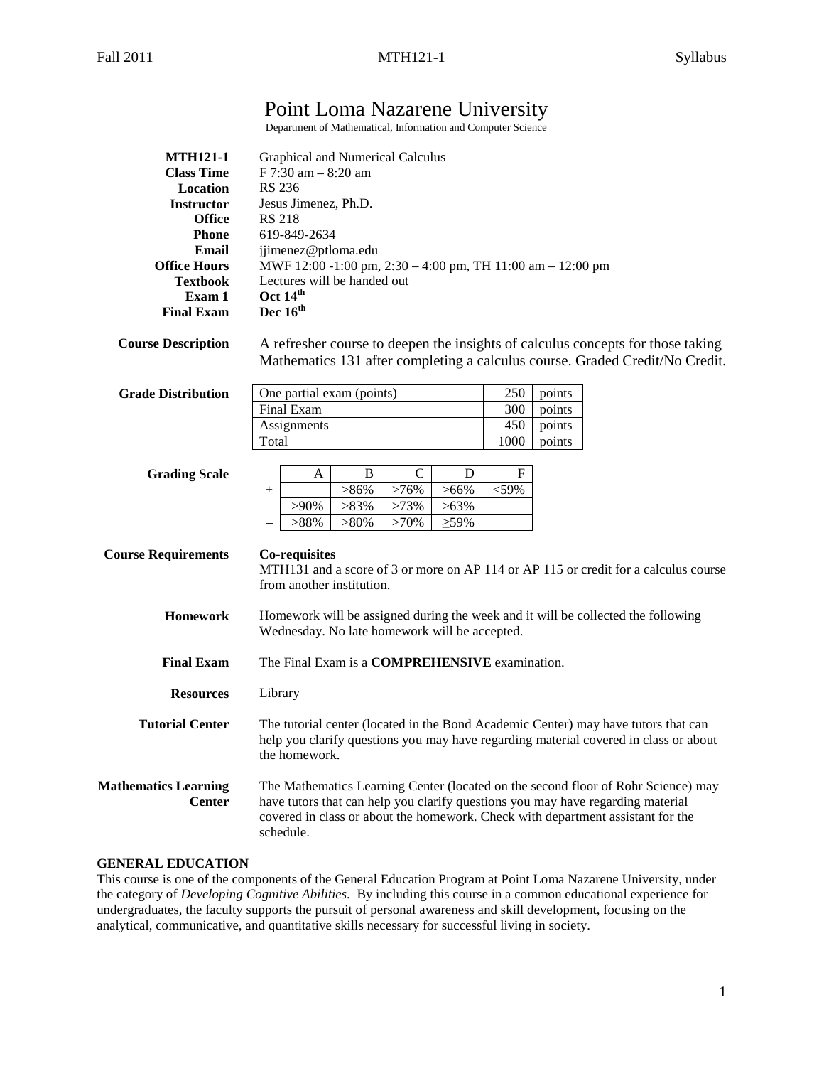# Point Loma Nazarene University

Department of Mathematical, Information and Computer Science

| <b>MTH121-1</b><br><b>Class Time</b>         | Graphical and Numerical Calculus<br>$F$ 7:30 am $-$ 8:20 am                                                                                                          |  |
|----------------------------------------------|----------------------------------------------------------------------------------------------------------------------------------------------------------------------|--|
| <b>Location</b>                              | <b>RS 236</b>                                                                                                                                                        |  |
| <b>Instructor</b>                            | Jesus Jimenez, Ph.D.                                                                                                                                                 |  |
| <b>Office</b>                                | <b>RS 218</b>                                                                                                                                                        |  |
| <b>Phone</b>                                 | 619-849-2634                                                                                                                                                         |  |
| Email                                        | jjimenez@ptloma.edu                                                                                                                                                  |  |
| <b>Office Hours</b>                          | MWF 12:00 -1:00 pm, 2:30 - 4:00 pm, TH 11:00 am - 12:00 pm                                                                                                           |  |
| <b>Textbook</b>                              | Lectures will be handed out                                                                                                                                          |  |
| Exam 1                                       | Oct 14 <sup>th</sup>                                                                                                                                                 |  |
| <b>Final Exam</b>                            | Dec 16 <sup>th</sup>                                                                                                                                                 |  |
| <b>Course Description</b>                    | A refresher course to deepen the insights of calculus concepts for those taking<br>Mathematics 131 after completing a calculus course. Graded Credit/No Credit.      |  |
| <b>Grade Distribution</b>                    | One partial exam (points)<br>points<br>250                                                                                                                           |  |
|                                              | <b>Final Exam</b><br>300<br>points                                                                                                                                   |  |
|                                              | 450<br>Assignments<br>points                                                                                                                                         |  |
|                                              | Total<br>1000<br>points                                                                                                                                              |  |
|                                              |                                                                                                                                                                      |  |
| <b>Grading Scale</b>                         | $\mathbf C$<br>F<br>B<br>D<br>A                                                                                                                                      |  |
|                                              | >76%<br>$>66\%$<br>$<$ 59%<br>$>86\%$<br>$+$                                                                                                                         |  |
|                                              | $>83\%$<br>$>63\%$<br>$>73\%$<br>$>90\%$                                                                                                                             |  |
|                                              | >88%<br>$>80\%$<br>>70%<br>$\geq$ 59%                                                                                                                                |  |
|                                              |                                                                                                                                                                      |  |
| <b>Course Requirements</b>                   | <b>Co-requisites</b>                                                                                                                                                 |  |
|                                              | MTH131 and a score of 3 or more on AP 114 or AP 115 or credit for a calculus course                                                                                  |  |
|                                              | from another institution.                                                                                                                                            |  |
|                                              |                                                                                                                                                                      |  |
| <b>Homework</b>                              | Homework will be assigned during the week and it will be collected the following                                                                                     |  |
|                                              | Wednesday. No late homework will be accepted.                                                                                                                        |  |
|                                              |                                                                                                                                                                      |  |
| <b>Final Exam</b>                            | The Final Exam is a COMPREHENSIVE examination.                                                                                                                       |  |
| <b>Resources</b>                             | Library                                                                                                                                                              |  |
| <b>Tutorial Center</b>                       | The tutorial center (located in the Bond Academic Center) may have tutors that can                                                                                   |  |
|                                              | help you clarify questions you may have regarding material covered in class or about<br>the homework.                                                                |  |
| <b>Mathematics Learning</b><br><b>Center</b> | The Mathematics Learning Center (located on the second floor of Rohr Science) may<br>have tutors that can help you clarify questions you may have regarding material |  |
|                                              | covered in class or about the homework. Check with department assistant for the<br>schedule.                                                                         |  |

### **GENERAL EDUCATION**

This course is one of the components of the General Education Program at Point Loma Nazarene University, under the category of *Developing Cognitive Abilities*. By including this course in a common educational experience for undergraduates, the faculty supports the pursuit of personal awareness and skill development, focusing on the analytical, communicative, and quantitative skills necessary for successful living in society.